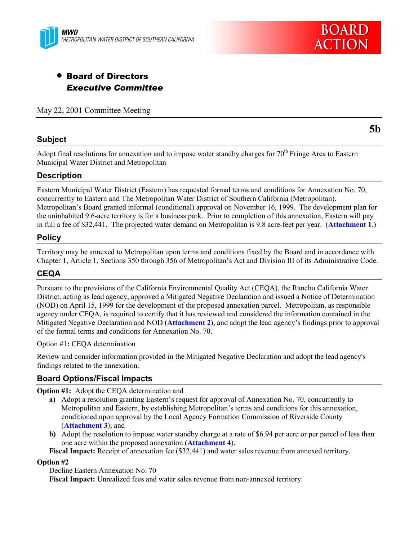



# • Board of Directors *Executive Committee*

May 22, 2001 Committee Meeting

#### **Subject**

**5b**

Adopt final resolutions for annexation and to impose water standby charges for 70<sup>th</sup> Fringe Area to Eastern Municipal Water District and Metropolitan

#### **Description**

Eastern Municipal Water District (Eastern) has requested formal terms and conditions for Annexation No. 70, concurrently to Eastern and The Metropolitan Water District of Southern California (Metropolitan). Metropolitanís Board granted informal (conditional) approval on November 16, 1999. The development plan for the uninhabited 9.6-acre territory is for a business park. Prior to completion of this annexation, Eastern will pay in full a fee of \$32,441. The projected water demand on Metropolitan is 9.8 acre-feet per year. (**Attachment 1**.)

#### **Policy**

Territory may be annexed to Metropolitan upon terms and conditions fixed by the Board and in accordance with Chapter 1, Article 1, Sections 350 through 356 of Metropolitanís Act and Division III of its Administrative Code.

#### **CEQA**

Pursuant to the provisions of the California Environmental Quality Act (CEQA), the Rancho California Water District, acting as lead agency, approved a Mitigated Negative Declaration and issued a Notice of Determination (NOD) on April 15, 1999 for the development of the proposed annexation parcel. Metropolitan, as responsible agency under CEQA, is required to certify that it has reviewed and considered the information contained in the Mitigated Negative Declaration and NOD (**Attachment 2**), and adopt the lead agency's findings prior to approval of the formal terms and conditions for Annexation No. 70.

Option #1**:** CEQA determination

Review and consider information provided in the Mitigated Negative Declaration and adopt the lead agency's findings related to the annexation.

### **Board Options/Fiscal Impacts**

**Option #1:** Adopt the CEQA determination and

- **a)** Adopt a resolution granting Eastern's request for approval of Annexation No. 70, concurrently to Metropolitan and Eastern, by establishing Metropolitan's terms and conditions for this annexation, conditioned upon approval by the Local Agency Formation Commission of Riverside County (**Attachment 3**); and
- **b)** Adopt the resolution to impose water standby charge at a rate of \$6.94 per acre or per parcel of less than one acre within the proposed annexation (**Attachment 4**).

**Fiscal Impact:** Receipt of annexation fee (\$32,441) and water sales revenue from annexed territory.

#### **Option #2**

Decline Eastern Annexation No. 70

**Fiscal Impact:** Unrealized fees and water sales revenue from non-annexed territory.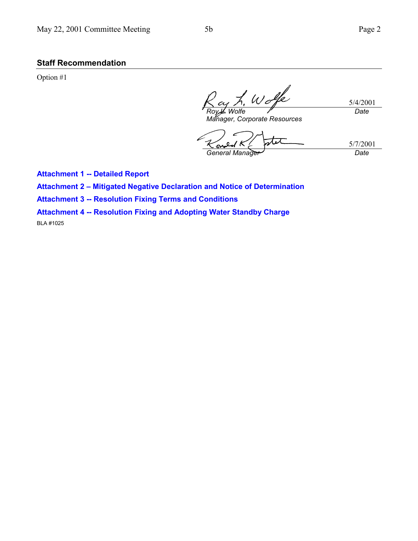## **Staff Recommendation**

Option #1

5/4/2001 *Roy L. Wolfe Date*

*Manager, Corporate Resources*

5/7/2001 *General Manager Date*

**Attachment 1 -- Detailed Report**

**Attachment 2 - Mitigated Negative Declaration and Notice of Determination** 

**Attachment 3 -- Resolution Fixing Terms and Conditions**

**Attachment 4 -- Resolution Fixing and Adopting Water Standby Charge**

BLA #1025